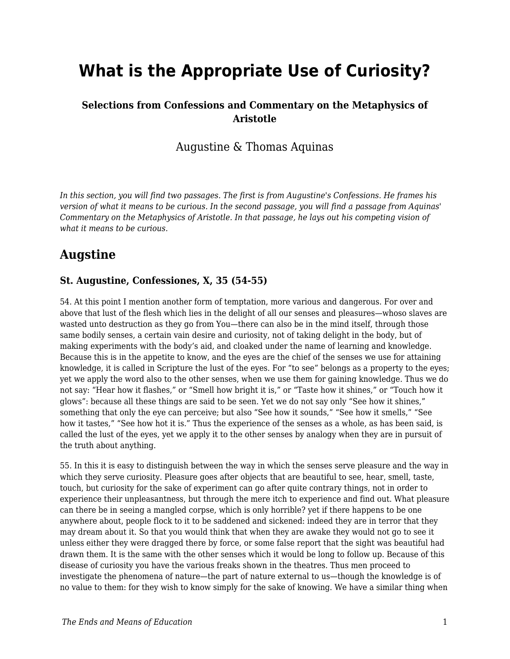# **What is the Appropriate Use of Curiosity?**

#### **Selections from Confessions and Commentary on the Metaphysics of Aristotle**

### Augustine & Thomas Aquinas

*In this section, you will find two passages. The first is from Augustine's Confessions. He frames his version of what it means to be curious. In the second passage, you will find a passage from Aquinas' Commentary on the Metaphysics of Aristotle. In that passage, he lays out his competing vision of what it means to be curious.* 

## **Augstine**

#### **St. Augustine, Confessiones, X, 35 (54-55)**

54. At this point I mention another form of temptation, more various and dangerous. For over and above that lust of the flesh which lies in the delight of all our senses and pleasures—whoso slaves are wasted unto destruction as they go from You—there can also be in the mind itself, through those same bodily senses, a certain vain desire and curiosity, not of taking delight in the body, but of making experiments with the body's aid, and cloaked under the name of learning and knowledge. Because this is in the appetite to know, and the eyes are the chief of the senses we use for attaining knowledge, it is called in Scripture the lust of the eyes. For "to see" belongs as a property to the eyes; yet we apply the word also to the other senses, when we use them for gaining knowledge. Thus we do not say: "Hear how it flashes," or "Smell how bright it is," or "Taste how it shines," or "Touch how it glows": because all these things are said to be seen. Yet we do not say only "See how it shines," something that only the eye can perceive; but also "See how it sounds," "See how it smells," "See how it tastes," "See how hot it is." Thus the experience of the senses as a whole, as has been said, is called the lust of the eyes, yet we apply it to the other senses by analogy when they are in pursuit of the truth about anything.

55. In this it is easy to distinguish between the way in which the senses serve pleasure and the way in which they serve curiosity. Pleasure goes after objects that are beautiful to see, hear, smell, taste, touch, but curiosity for the sake of experiment can go after quite contrary things, not in order to experience their unpleasantness, but through the mere itch to experience and find out. What pleasure can there be in seeing a mangled corpse, which is only horrible? yet if there happens to be one anywhere about, people flock to it to be saddened and sickened: indeed they are in terror that they may dream about it. So that you would think that when they are awake they would not go to see it unless either they were dragged there by force, or some false report that the sight was beautiful had drawn them. It is the same with the other senses which it would be long to follow up. Because of this disease of curiosity you have the various freaks shown in the theatres. Thus men proceed to investigate the phenomena of nature—the part of nature external to us—though the knowledge is of no value to them: for they wish to know simply for the sake of knowing. We have a similar thing when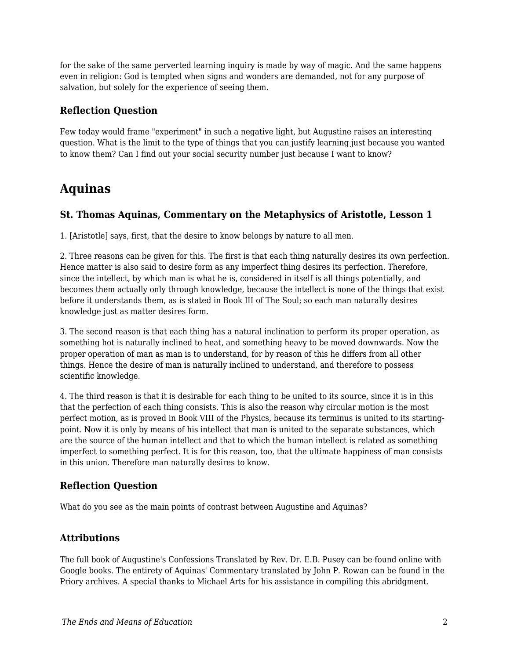for the sake of the same perverted learning inquiry is made by way of magic. And the same happens even in religion: God is tempted when signs and wonders are demanded, not for any purpose of salvation, but solely for the experience of seeing them.

#### **Reflection Question**

Few today would frame "experiment" in such a negative light, but Augustine raises an interesting question. What is the limit to the type of things that you can justify learning just because you wanted to know them? Can I find out your social security number just because I want to know?

## **Aquinas**

#### **St. Thomas Aquinas, Commentary on the Metaphysics of Aristotle, Lesson 1**

1. [Aristotle] says, first, that the desire to know belongs by nature to all men.

2. Three reasons can be given for this. The first is that each thing naturally desires its own perfection. Hence matter is also said to desire form as any imperfect thing desires its perfection. Therefore, since the intellect, by which man is what he is, considered in itself is all things potentially, and becomes them actually only through knowledge, because the intellect is none of the things that exist before it understands them, as is stated in Book III of The Soul; so each man naturally desires knowledge just as matter desires form.

3. The second reason is that each thing has a natural inclination to perform its proper operation, as something hot is naturally inclined to heat, and something heavy to be moved downwards. Now the proper operation of man as man is to understand, for by reason of this he differs from all other things. Hence the desire of man is naturally inclined to understand, and therefore to possess scientific knowledge.

4. The third reason is that it is desirable for each thing to be united to its source, since it is in this that the perfection of each thing consists. This is also the reason why circular motion is the most perfect motion, as is proved in Book VIII of the Physics, because its terminus is united to its startingpoint. Now it is only by means of his intellect that man is united to the separate substances, which are the source of the human intellect and that to which the human intellect is related as something imperfect to something perfect. It is for this reason, too, that the ultimate happiness of man consists in this union. Therefore man naturally desires to know.

#### **Reflection Question**

What do you see as the main points of contrast between Augustine and Aquinas?

#### **Attributions**

The full book of Augustine's Confessions Translated by Rev. Dr. E.B. Pusey can be found online with Google books. The entirety of Aquinas' Commentary translated by John P. Rowan can be found in the Priory archives. A special thanks to Michael Arts for his assistance in compiling this abridgment.